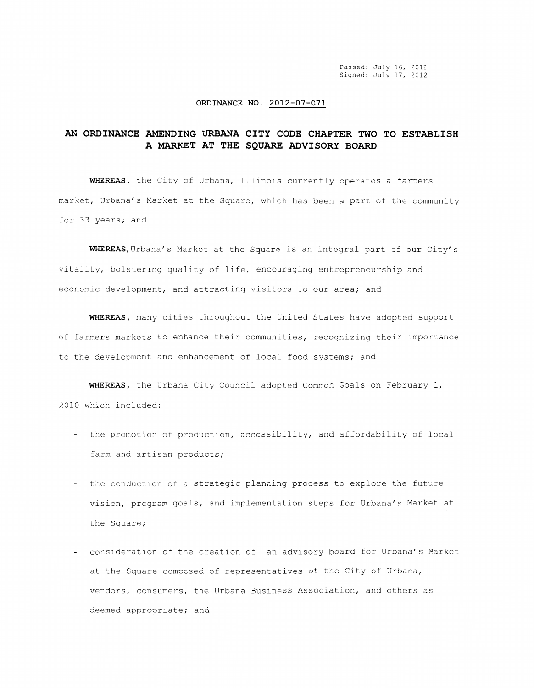Passed: July 16, 2012 Signed: July 17, 2012

## **ORDINANCE NO. 2012-07-071**

## **AN ORDINANCE AMENDING URBANA CITY CODE CHAPTER TWO TO ESTABLISH A MARKET AT THE SQUARE ADVISORY BOARD**

**WHEREAS,** the City of Urbana, Illinois currently operates a farmers market, Urbana's Market at the Square, which has been a part of the community for 33 years; and

**WHEREAS,Urbana's** Market at the Square is an integral part of our City's vitality, bolstering quality of life, encouraging entrepreneurship and economic development, and attracting visitors to our area; and

**WHEREAS,** many cities throughout the United States have adopted support of farmers markets to enhance their communities, recognizing their importance to the development and enhancement of local food systems; and

**WHEREAS,** the Urbana City Council adopted Common Goals on February 1, 2010 which included:

- the promotion of production, accessibility, and affordability of local farm and artisan products;
- the conduction of a strategic planning process to explore the future vision, program goals, and implementation steps for Urbana's Market at the Square;
- consideration of the creation of an advisory board for Urbana's Market at the Square composed of representatives of the City of Urbana, vendors, consumers, the Urbana Business Association, and others as deemed appropriate; and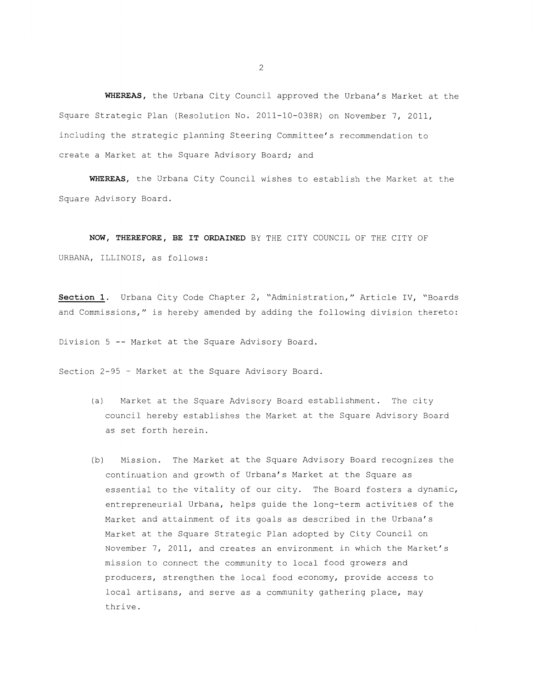**WHEREAS,** the Urbana City Council approved the Urbana's Market at the Square Strategic Plan (Resolution No. 2011-10-038R) on November 7, 2011, including the strategic planning Steering Committee's recommendation to create a Market at the Square Advisory Board; and

**WHEREAS,** the Urbana City Council wishes to establish the Market at the Square Advisory Board.

**NOW, THEREFORE, BE IT ORDAINED** BY THE CITY COUNCIL OF THE CITY OF URBANA, ILLINOIS, as follows:

**Section 1.** Urbana City Code Chapter 2, "Administration," Article IV, "Boards and Commissions," is hereby amended by adding the following division thereto:

Division 5 -- Market at the Square Advisory Board.

Section 2-95 - Market at the Square Advisory Board.

- (a) Market at the Square Advisory Board establishment. The city council hereby establishes the Market at the Square Advisory Board as set forth herein.
- (b) Mission. The Market at the Square Advisory Board recognizes the continuation and growth of Urbana's Market at the Square as essential to the vitality of our city. The Board fosters a dynamic, entrepreneurial Urbana, helps guide the long-term activities of the Market and attainment of its goals as described in the Urbana's Market at the Square Strategic Plan adopted by City Council on November 7, 2011, and creates an environment in which the Market's mission to connect the community to local food growers and producers, strengthen the local food economy, provide access to local artisans, and serve as a community gathering place, may thrive.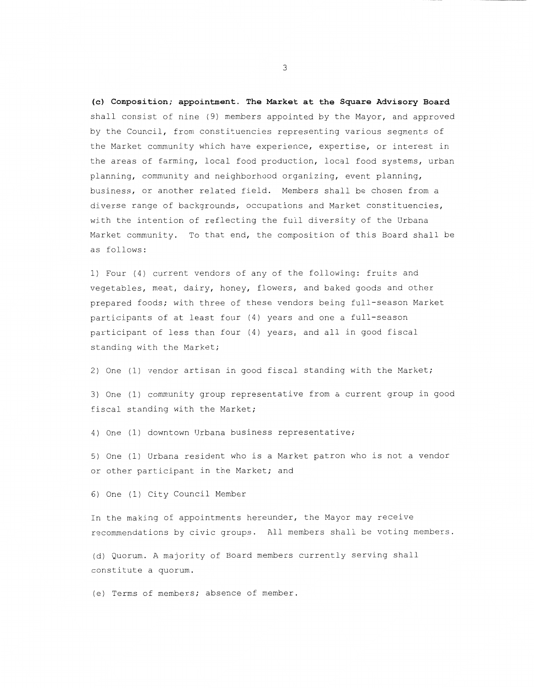**(c) Composition; appointment. The Market at the Square Advisory Board**  shall consist of nine (9) members appointed by the Mayor, and approved by the Council, from constituencies representing various segments of the Market community which have experience, expertise, or interest in the areas of farming, local food production, local food systems, urban planning, community and neighborhood organizing, event planning, business, or another related field. Members shall be chosen from a diverse range of backgrounds, occupations and Market constituencies, with the intention of reflecting the full diversity of the Urbana Market community. To that end, the composition of this Board shall be as follows:

1) Four (4) current vendors of any of the following: fruits and vegetables, meat, dairy, honey, flowers, and baked goods and other prepared foods; with three of these vendors being full-season Market participants of at least four (4) years and one a full-season participant of less than four (4) years, and all in good fiscal standing with the Market;

2) One (1) vendor artisan in good fiscal standing with the Market;

3) One (1) community group representative from a current group in good fiscal standing with the Market;

4) One (1) downtown Urbana business representative;

5) One (1) Urbana resident who is a Market patron who is not a vendor or other participant in the Market; and

6) One (1) City Council Member

In the making of appointments hereunder, the Mayor may receive recommendations by civic groups. All members shall be voting members.

(d) Quorum. A majority of Board members currently serving shall constitute a quorum.

(e) Terms of members; absence of member.

3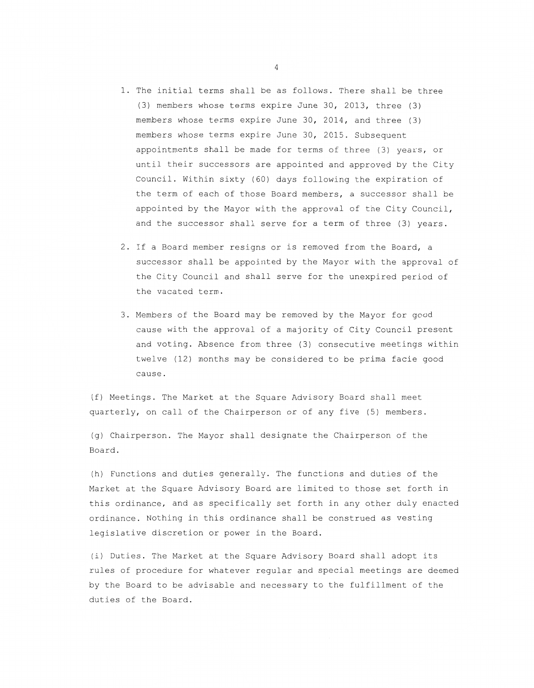- 1. The initial terms shall be as follows. There shall be three (3) members whose terms expire June 30, 2013, three (3) members whose terms expire June 30, 2014, and three (3) members whose terms expire June 30, 2015. Subsequent appointments shall be made for terms of three (3) years, or until their successors are appointed and approved by the City Council. Within sixty (60) days following the expiration of the term of each of those Board members, a successor shall be appointed by the Mayor with the approval of the City Council, and the successor shall serve for a term of three (3) years.
- 2. If a Board member resigns or is removed from the Board, a successor shall be appointed by the Mayor with the approval of the City Council and shall serve for the unexpired period of the vacated term.
- 3. Members of the Board may be removed by the Mayor for good cause with the approval of a majority of City Council present and voting. Absence from three (3) consecutive meetings within twelve (12) months may be considered to be prima facie good cause.

(f) Meetings. The Market at the Square Advisory Board shall meet quarterly, on call of the Chairperson or of any five (5) members.

(g) Chairperson. The Mayor shall designate the Chairperson of the Board.

(h) Functions and duties generally. The functions and duties of the Market at the Square Advisory Board are limited to those set forth in this ordinance, and as specifically set forth in any other duly enacted ordinance. Nothing in this ordinance shall be construed as vesting legislative discretion or power in the Board.

(i) Duties. The Market at the Square Advisory Board shall adopt its rules of procedure for whatever regular and special meetings are deemed by the Board to be advisable and necessary to the fulfillment of the duties of the Board.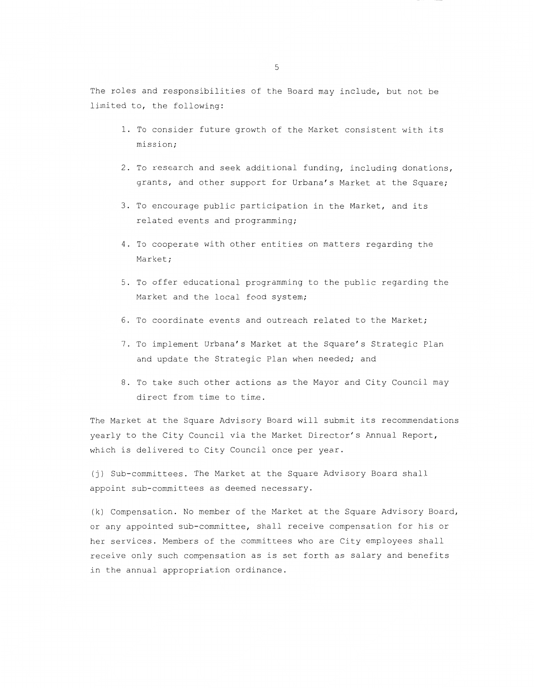The roles and responsibilities of the Board may include, but not be limited to, the following:

- 1. To consider future growth of the Market consistent with its mission;
- 2. To research and seek additional funding, including donations, grants, and other support for Urbana's Market at the Square;
- 3. To encourage public participation in the Market, and its related events and programming;
- 4. To cooperate with other entities on matters regarding the Market;
- 5. To offer educational programming to the public regarding the Market and the local food system;
- 6. To coordinate events and outreach related to the Market;
- 7. To implement Urbana's Market at the Square's Strategic Plan and update the Strategic Plan when needed; and
- 8. To take such other actions as the Mayor and City Council may direct from time to time.

The Market at the Square Advisory Board will submit its recommendations yearly to the City Council via the Market Director's Annual Report, which is delivered to City Council once per year.

(j) Sub-committees. The Market at the Square Advisory Board shall appoint sub-committees as deemed necessary.

(k) Compensation. No member of the Market at the Square Advisory Board, or any appointed sub-committee, shall receive compensation for his or her services. Members of the committees who are City employees shall receive only such compensation as is set forth as salary and benefits in the annual appropriation ordinance.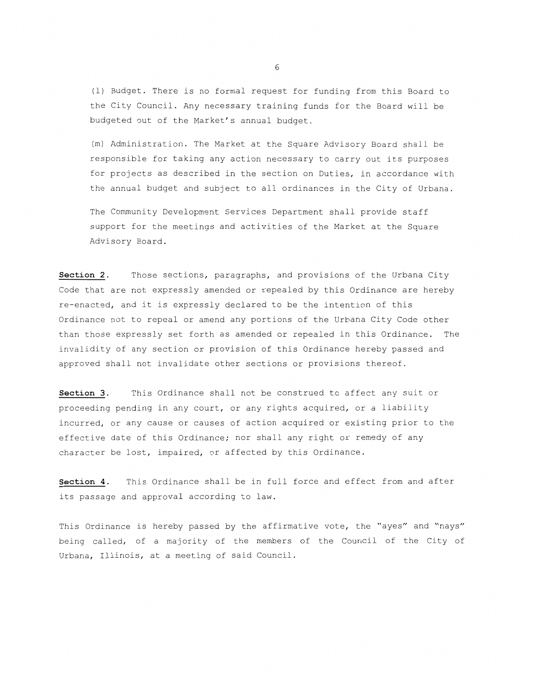(1) Budget. There is no formal request for funding from this Board to the City Council. Any necessary training funds for the Board will be budgeted out of the Market's annual budget.

(m) Administration. The Market at the Square Advisory Board shall be responsible for taking any action necessary to carry out its purposes for projects as described in the section on Duties, in accordance with the annual budget and subject to all ordinances in the City of Urbana.

The Community Development Services Department shall provide staff support for the meetings and activities of the Market at the Square Advisory Board.

**Section 2.** Those sections, paragraphs, and provisions of the Urbana City Code that are not expressly amended or repealed by this Ordinance are hereby re-enacted, and it is expressly declared to be the intention of this Ordinance not to repeal or amend any portions of the Urbana City Code other than those expressly set forth as amended or repealed in this Ordinance. The invalidity of any section or provision of this Ordinance hereby passed and approved shall not invalidate other sections or provisions thereof.

**Section 3.** This Ordinance shall not be construed to affect any suit or proceeding pending in any court, or any rights acquired, or a liability incurred, or any cause or causes of action acquired or existing prior to the effective date of this Ordinance; nor shall any right or remedy of any character be lost, impaired, or affected by this Ordinance.

**Section 4.** This Ordinance shall be in full force and effect from and after its passage and approval according to law.

This Ordinance is hereby passed by the affirmative vote, the "ayes" and "nays" being called, of a majority of the members of the Council of the City of Urbana, Illinois, at a meeting of said Council.

6